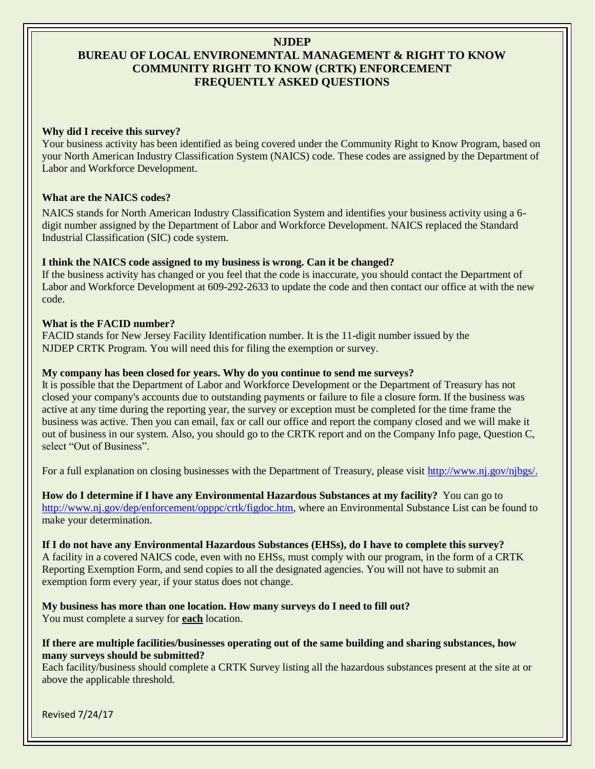# **NJDEP BUREAU OF LOCAL ENVIRONEMNTAL MANAGEMENT & RIGHT TO KNOW COMMUNITY RIGHT TO KNOW (CRTK) ENFORCEMENT FREQUENTLY ASKED QUESTIONS**

## **Why did I receive this survey?**

Your business activity has been identified as being covered under the Community Right to Know Program, based on your North American Industry Classification System (NAICS) code. These codes are assigned by the Department of Labor and Workforce Development.

## **What are the NAICS codes?**

NAICS stands for North American Industry Classification System and identifies your business activity using a 6 digit number assigned by the Department of Labor and Workforce Development. NAICS replaced the Standard Industrial Classification (SIC) code system.

#### **I think the NAICS code assigned to my business is wrong. Can it be changed?**

If the business activity has changed or you feel that the code is inaccurate, you should contact the Department of Labor and Workforce Development at 609-292-2633 to update the code and then contact our office at with the new code.

#### **What is the FACID number?**

FACID stands for New Jersey Facility Identification number. It is the 11-digit number issued by the NJDEP CRTK Program. You will need this for filing the exemption or survey.

#### **My company has been closed for years. Why do you continue to send me surveys?**

It is possible that the Department of Labor and Workforce Development or the Department of Treasury has not closed your company's accounts due to outstanding payments or failure to file a closure form. If the business was active at any time during the reporting year, the survey or exception must be completed for the time frame the business was active. Then you can email, fax or call our office and report the company closed and we will make it out of business in our system. Also, you should go to the CRTK report and on the Company Info page, Question C, select "Out of Business".

For a full explanation on closing businesses with the Department of Treasury, please visit [http://www.nj.gov/njbgs/.](http://www.nj.gov/njbgs/)

**How do I determine if I have any Environmental Hazardous Substances at my facility?** You can go to [http://www.nj.gov/dep/enforcement/opppc/crtk/figdoc.htm,](http://www.nj.gov/dep/enforcement/opppc/crtk/figdoc.htm) where an Environmental Substance List can be found to make your determination.

**If I do not have any Environmental Hazardous Substances (EHSs), do I have to complete this survey?**  A facility in a covered NAICS code, even with no EHSs, must comply with our program, in the form of a CRTK Reporting Exemption Form, and send copies to all the designated agencies. You will not have to submit an exemption form every year, if your status does not change.

**My business has more than one location. How many surveys do I need to fill out?**  You must complete a survey for **each** location.

#### **If there are multiple facilities/businesses operating out of the same building and sharing substances, how many surveys should be submitted?**

Each facility/business should complete a CRTK Survey listing all the hazardous substances present at the site at or above the applicable threshold.

Revised 7/24/17